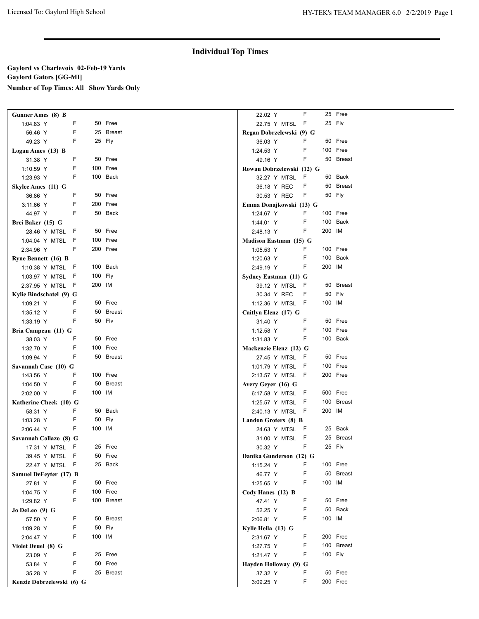# **Individual Top Times**

## **Gaylord vs Charlevoix 02-Feb-19 Yards Gaylord Gators [GG-MI] Number of Top Times: All Show Yards Only**

| <b>Gunner Ames</b> (8) B      |     |         |            | 22.02 Y                              | F  |         | 25 Free              |
|-------------------------------|-----|---------|------------|--------------------------------------|----|---------|----------------------|
| 1:04.83 Y                     | F   |         | 50 Free    | 22.75 Y MTSL F                       |    |         | 25 Fly               |
| 56.46 Y                       | F   |         | 25 Breast  | Regan Dobrzelewski (9) G             |    |         |                      |
| 49.23 Y                       | F   |         | 25 Fly     | 36.03 Y                              | F  |         | 50 Free              |
| Logan Ames (13) B             |     |         |            | 1:24.53 Y                            | F  |         | 100 Free             |
| 31.38 Y                       | F   |         | 50 Free    | 49.16 Y                              | F  |         | 50 Breast            |
| 1:10.59 Y                     | F   |         | 100 Free   | Rowan Dobrzelewski (12) G            |    |         |                      |
| 1:23.93 Y                     | F   |         | 100 Back   | 32.27 Y MTSL                         | F  |         | 50 Back              |
| Skylee Ames (11) G            |     |         |            | 36.18 Y REC                          | F  |         | 50 Breast            |
| 36.86 Y                       | F   |         | 50 Free    | 30.53 Y REC                          | F  |         | 50 Fly               |
| 3:11.66 Y                     | F   |         | 200 Free   | Emma Donajkowski (13) G              |    |         |                      |
| 44.97 Y                       | F   |         | 50 Back    | 1:24.67 Y                            | F  |         | 100 Free             |
| Brei Baker (15) G             |     |         |            | 1:44.01 Y                            | F  |         | 100 Back             |
| 28.46 Y MTSL                  | - F |         | 50 Free    | 2:48.13 Y                            | F  | 200 IM  |                      |
| 1:04.04 Y MTSL                | - F |         | 100 Free   | Madison Eastman (15) G               |    |         |                      |
| 2:34.96 Y                     | F   |         | 200 Free   | 1:05.53 Y                            | F  |         | 100 Free             |
| Ryne Bennett (16) B           |     |         |            | 1:20.63 Y                            | F  |         | 100 Back             |
| 1:10.38 Y MTSL F              |     |         | 100 Back   | 2:49.19 Y                            | F  | 200 IM  |                      |
| 1:03.97 Y MTSL F              |     | 100 Fly |            | Sydney Eastman (11) G                |    |         |                      |
| 2:37.95 Y MTSL F              |     | 200 IM  |            | 39.12 Y MTSL                         | F, |         | 50 Breast            |
| Kylie Bindschatel (9) G       |     |         |            | 30.34 Y REC                          | F  |         | 50 Fly               |
| 1:09.21 Y                     | F   |         | 50 Free    | 1:12.36 Y MTSL F                     |    | 100 IM  |                      |
| 1:35.12 Y                     | F   |         | 50 Breast  | Caitlyn Elenz (17) G                 |    |         |                      |
| 1:33.19 Y                     | F   |         | 50 Fly     | 31.40 Y                              | F  |         | 50 Free              |
|                               |     |         |            | 1:12.58 Y                            | F  |         | 100 Free             |
| Bria Campeau (11) G           | F   |         | 50 Free    |                                      | F  |         | 100 Back             |
| 38.03 Y<br>1:32.70 Y          | F   |         | 100 Free   | 1:31.83 Y<br>Mackenzie Elenz (12) G  |    |         |                      |
|                               | F   |         | 50 Breast  |                                      |    |         | 50 Free              |
| 1:09.94 Y                     |     |         |            | 27.45 Y MTSL F                       |    |         | 100 Free             |
| Savannah Case (10) G          | F   |         | 100 Free   | 1:01.79 Y MTSL F<br>2:13.57 Y MTSL F |    |         | 200 Free             |
| 1:43.56 Y                     | F   |         | 50 Breast  |                                      |    |         |                      |
| 1:04.50 Y                     | F   | 100 IM  |            | Avery Geyer (16) G                   |    |         | 500 Free             |
| 2:02.00 Y                     |     |         |            | 6:17.58 Y MTSL                       | F. |         | 100 Breast           |
| Katherine Cheek (10) G        | F   |         | 50 Back    | 1:25.57 Y MTSL F                     |    | 200 IM  |                      |
| 58.31 Y                       | F   |         | 50 Fly     | 2:40.13 Y MTSL F                     |    |         |                      |
| 1:03.28 Y                     | F   | 100 IM  |            | Landon Groters (8) B                 |    |         |                      |
| 2:06.44 Y                     |     |         |            | 24.63 Y MTSL F                       |    |         | 25 Back<br>25 Breast |
| Savannah Collazo (8) G        |     |         |            | 31.00 Y MTSL                         | F  |         | 25 Fly               |
| 17.31 Y MTSL F                |     |         | 25 Free    | 30.32 Y                              | F  |         |                      |
| 39.45 Y MTSL F                |     |         | 50 Free    | Danika Gunderson (12) G              |    |         |                      |
| 22.47 Y MTSL F                |     |         | 25 Back    | 1:15.24 Y                            | F  |         | 100 Free             |
| <b>Samuel DeFevter (17) B</b> |     |         |            | 46.77 Y                              | F  |         | 50 Breast            |
| 27.81 Y                       | F   |         | 50 Free    | 1:25.65 Y                            | F  | 100 IM  |                      |
| 1:04.75 Y                     | F   |         | 100 Free   | Cody Hanes (12) B                    |    |         |                      |
| 1:29.82 Y                     | F   |         | 100 Breast | 47.41 Y                              | F  |         | 50 Free              |
| Jo DeLeo (9) G                |     |         |            | 52.25 Y                              | F  |         | 50 Back              |
| 57.50 Y                       | F   |         | 50 Breast  | 2:06.81 Y                            | F  | 100 IM  |                      |
| 1:09.28 Y                     | F   |         | 50 Fly     | Kylie Hella (13) G                   |    |         |                      |
| 2:04.47 Y                     | F   | 100 IM  |            | 2:31.67 Y                            | F  |         | 200 Free             |
| Violet Deuel (8) G            |     |         |            | 1:27.75 Y                            | F  |         | 100 Breast           |
| 23.09 Y                       | F   |         | 25 Free    | 1:21.47 Y                            | F  | 100 Fly |                      |
| 53.84 Y                       | F   |         | 50 Free    | Hayden Holloway (9) G                |    |         |                      |
| 35.28 Y                       | F   |         | 25 Breast  | 37.32 Y                              | F  |         | 50 Free              |
| Kenzie Dobrzelewski (6) G     |     |         |            | 3:09.25 Y                            | F  |         | 200 Free             |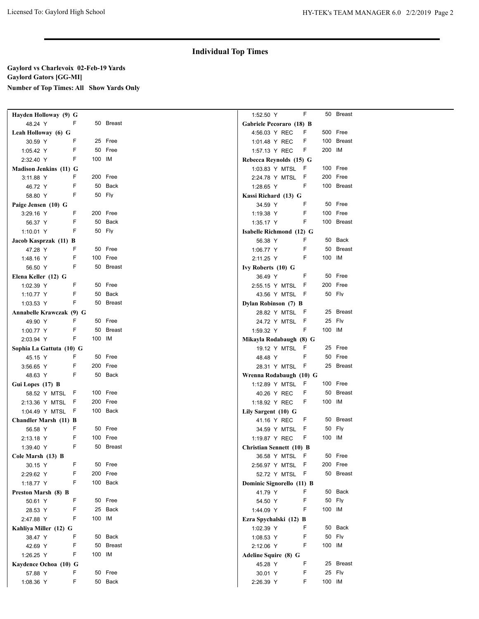# **Individual Top Times**

## **Gaylord vs Charlevoix 02-Feb-19 Yards Gaylord Gators [GG-MI] Number of Top Times: All Show Yards Only**

| Hayden Holloway (9) G        |    |        |           | 1:52.50 Y                       |                  | F           |         | 50 Breast  |
|------------------------------|----|--------|-----------|---------------------------------|------------------|-------------|---------|------------|
| 48.24 Y                      | F  |        | 50 Breast | Gabriele Pecoraro (18) B        |                  |             |         |            |
| Leah Holloway (6) G          |    |        |           | 4:56.03 Y REC                   |                  | F.          |         | 500 Free   |
| 30.59 Y                      | F  |        | 25 Free   | 1:01.48 Y REC                   |                  | F           |         | 100 Breast |
| 1:05.42 Y                    | F  |        | 50 Free   | 1:57.13 Y REC                   |                  | F           | 200 IM  |            |
| 2:32.40 Y                    | F  | 100 IM |           | Rebecca Reynolds (15) G         |                  |             |         |            |
| Madison Jenkins (11) G       |    |        |           |                                 | 1:03.83 Y MTSL F |             |         | 100 Free   |
| 3:11.88 Y                    | F  |        | 200 Free  |                                 | 2:24.78 Y MTSL   | -F          |         | 200 Free   |
| 46.72 Y                      | F  |        | 50 Back   | 1:28.65 Y                       |                  | F           |         | 100 Breast |
| 58.80 Y                      | F  |        | 50 Fly    | Kassi Richard (13) G            |                  |             |         |            |
| Paige Jensen (10) G          |    |        |           | 34.59 Y                         |                  | F           |         | 50 Free    |
| 3:29.16 Y                    | F  |        | 200 Free  | 1:19.38 Y                       |                  | F           |         | 100 Free   |
| 56.37 Y                      | F  |        | 50 Back   | 1:35.17 Y                       |                  | F           |         | 100 Breast |
| 1:10.01 Y                    | F  |        | 50 Fly    | Isabelle Richmond (12) G        |                  |             |         |            |
| Jacob Kasprzak (11) B        |    |        |           | 56.38 Y                         |                  | F           |         | 50 Back    |
| 47.28 Y                      | F  |        | 50 Free   | 1:06.77 Y                       |                  | F           |         | 50 Breast  |
| 1:48.16 Y                    | F  |        | 100 Free  | 2:11.25 Y                       |                  | F           | 100 IM  |            |
| 56.50 Y                      | F  |        | 50 Breast | Ivy Roberts (10) G              |                  |             |         |            |
| Elena Keller (12) G          |    |        |           | 36.49 Y                         |                  | F           |         | 50 Free    |
| 1:02.39 Y                    | F  |        | 50 Free   |                                 | 2:55.15 Y MTSL   | -F          |         | 200 Free   |
| 1:10.77 Y                    | F  |        | 50 Back   |                                 | 43.56 Y MTSL F   |             |         | 50 Fly     |
| 1:03.53 Y                    | F  |        | 50 Breast | Dylan Robinson (7) B            |                  |             |         |            |
| Annabelle Krawczak (9) G     |    |        |           |                                 | 28.82 Y MTSL     | - 6         |         | 25 Breast  |
| 49.90 Y                      | F  |        | 50 Free   |                                 | 24.72 Y MTSL     | -F          |         | 25 Fly     |
| 1:00.77 Y                    | F  |        | 50 Breast | 1:59.32 Y                       |                  | F           | 100 IM  |            |
| 2:03.94 Y                    | F  | 100 IM |           | Mikayla Rodabaugh (8) G         |                  |             |         |            |
| Sophia La Gattuta (10) G     |    |        |           |                                 | 19.12 Y MTSL F   |             |         | 25 Free    |
| 45.15 Y                      | F. |        | 50 Free   | 48.48 Y                         |                  | F           |         | 50 Free    |
| 3:56.65 Y                    | F  |        | 200 Free  |                                 | 28.31 Y MTSL F   |             |         | 25 Breast  |
| 48.63 Y                      | F  |        | 50 Back   | Wrenna Rodabaugh (10) G         |                  |             |         |            |
| Gui Lopes (17) B             |    |        |           |                                 | 1:12.89 Y MTSL   | - F         |         | 100 Free   |
| 58.52 Y MTSL                 | F  |        | 100 Free  |                                 | 40.26 Y REC      | F           |         | 50 Breast  |
| 2:13.36 Y MTSL               | F  |        | 200 Free  | 1:18.92 Y REC                   |                  | F           | 100 IM  |            |
| 1:04.49 Y MTSL F             |    |        | 100 Back  | Lily Sargent (10) G             |                  |             |         |            |
| <b>Chandler Marsh (11) B</b> |    |        |           |                                 | 41.16 Y REC      | F           |         | 50 Breast  |
| 56.58 Y                      | F  |        | 50 Free   |                                 | 34.59 Y MTSL     | -F          |         | 50 Fly     |
| 2:13.18 Y                    | F  |        | 100 Free  | 1:19.87 Y REC                   |                  | F           | 100 IM  |            |
| 1:39.40 Y                    | F  |        | 50 Breast | <b>Christian Sennett (10) B</b> |                  |             |         |            |
| Cole Marsh (13) B            |    |        |           |                                 | 36.58 Y MTSL F   |             |         | 50 Free    |
| 30.15 Y                      | F  |        | 50 Free   |                                 | 2:56.97 Y MTSL   | - F         |         | 200 Free   |
| 2:29.62 Y                    | F  |        | 200 Free  |                                 | 52.72 Y MTSL     | $\mathsf F$ |         | 50 Breast  |
| 1:18.77 Y                    | F  |        | 100 Back  | Dominic Signorello (11) B       |                  |             |         |            |
| Preston Marsh (8) B          |    |        |           | 41.79 Y                         |                  | F           |         | 50 Back    |
| 50.61 Y                      | F  |        | 50 Free   | 54.50 Y                         |                  | F           |         | 50 Fly     |
| 28.53 Y                      | F  |        | 25 Back   | 1:44.09 Y                       |                  | F           | 100 IM  |            |
| 2:47.88 Y                    | F  | 100 IM |           | Ezra Spychalski (12) B          |                  |             |         |            |
| Kahliya Miller (12) G        |    |        | 1:02.39 Y |                                 | F                |             | 50 Back |            |
| 38.47 Y                      | F  |        | 50 Back   | 1:08.53 Y                       |                  | F           |         | 50 Fly     |
| 42.69 Y                      | F  |        | 50 Breast | 2:12.06 Y                       |                  | F           | 100 IM  |            |
| 1:26.25 Y                    | F  | 100 IM |           | Adeline Squire (8) G            |                  |             |         |            |
| Kaydence Ochoa (10) G        |    |        |           | 45.28 Y                         |                  | F           |         | 25 Breast  |
| 57.88 Y                      | F  |        | 50 Free   | 30.01 Y                         |                  | F           |         | 25 Fly     |
| 1:08.36 Y                    | F  |        | 50 Back   | 2:26.39 Y                       |                  | F           | 100 IM  |            |
|                              |    |        |           |                                 |                  |             |         |            |